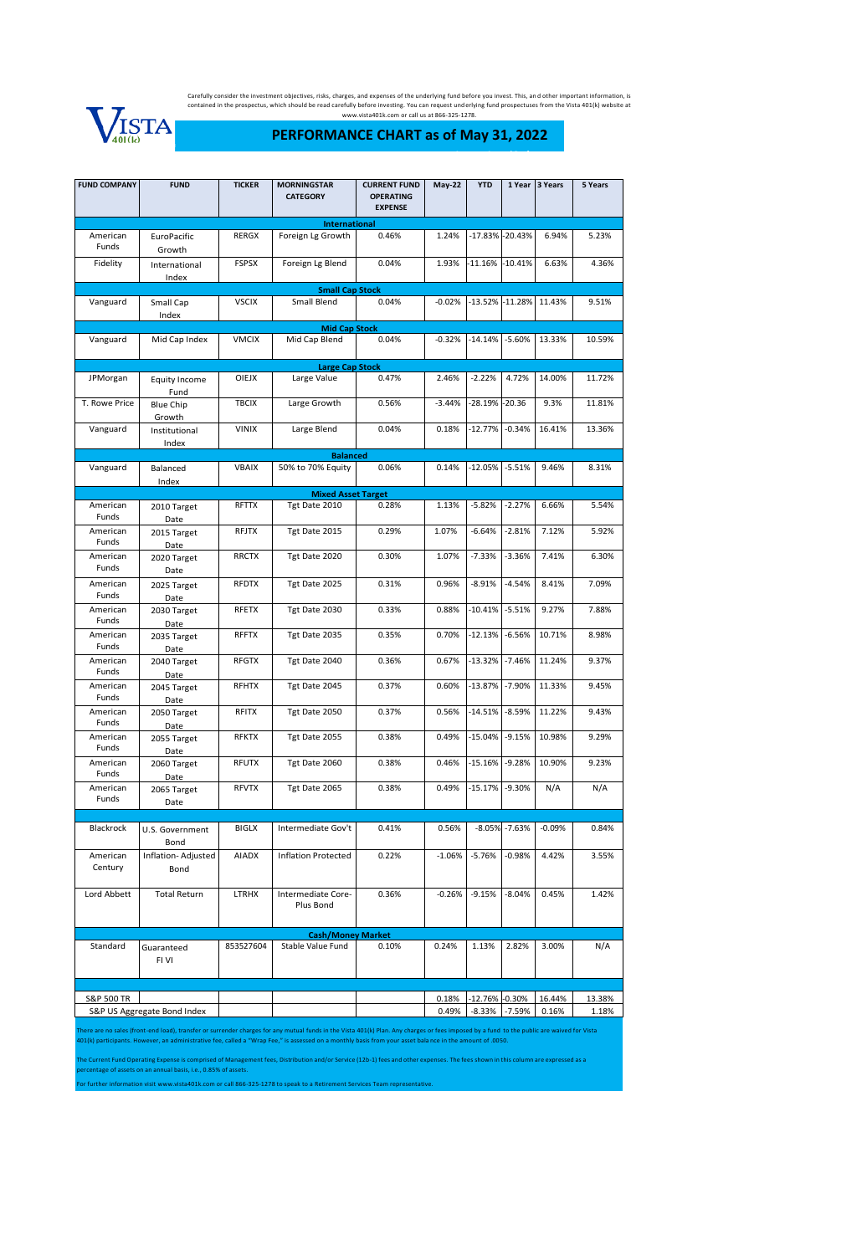

## **PERFORMANCE CHART as of May 31, 2022**

Carefully consider the investment objectives, risks, charges, and expenses of the underlying fund before you invest. This, and other important information, is<br>contained in the prospectus, which should be read carefully bef

**Average Annual Performance**

| <b>FUND COMPANY</b>         | <b>FUND</b>                | <b>TICKER</b> | <b>MORNINGSTAR</b><br><b>CATEGORY</b>      | <b>CURRENT FUND</b><br><b>OPERATING</b><br><b>EXPENSE</b> | <b>May-22</b> | <b>YTD</b>           | 1 Year    | 3 Years  | 5 Years |
|-----------------------------|----------------------------|---------------|--------------------------------------------|-----------------------------------------------------------|---------------|----------------------|-----------|----------|---------|
|                             |                            |               | International                              |                                                           |               |                      |           |          |         |
| American<br>Funds           | EuroPacific<br>Growth      | RERGX         | Foreign Lg Growth                          | 0.46%                                                     | 1.24%         | -17.83%              | $-20.43%$ | 6.94%    | 5.23%   |
| Fidelity                    | International              | <b>FSPSX</b>  | Foreign Lg Blend                           | 0.04%                                                     | 1.93%         | 11.16%               | $-10.41%$ | 6.63%    | 4.36%   |
|                             | Index                      |               |                                            |                                                           |               |                      |           |          |         |
| Vanguard                    |                            | <b>VSCIX</b>  | <b>Small Cap Stock</b><br>Small Blend      | 0.04%                                                     | $-0.02%$      | -13.52% -11.28%      |           | 11.43%   | 9.51%   |
|                             | Small Cap<br>Index         |               |                                            |                                                           |               |                      |           |          |         |
|                             |                            |               | <b>Mid Cap Stock</b>                       |                                                           |               |                      |           |          |         |
| Vanguard                    | Mid Cap Index              | <b>VMCIX</b>  | Mid Cap Blend                              | 0.04%                                                     | $-0.32%$      | $-14.14%$            | $-5.60%$  | 13.33%   | 10.59%  |
|                             |                            |               | <b>Large Cap Stock</b>                     |                                                           |               |                      |           |          |         |
| JPMorgan                    | <b>Equity Income</b>       | <b>OIEJX</b>  | Large Value                                | 0.47%                                                     | 2.46%         | $-2.22%$             | 4.72%     | 14.00%   | 11.72%  |
| T. Rowe Price               | Fund                       | <b>TBCIX</b>  | Large Growth                               | 0.56%                                                     | $-3.44%$      | 28.19%               | $-20.36$  | 9.3%     | 11.81%  |
|                             | <b>Blue Chip</b><br>Growth |               |                                            |                                                           |               |                      |           |          |         |
| Vanguard                    | Institutional<br>Index     | VINIX         | Large Blend                                | 0.04%                                                     | 0.18%         | $-12.77%$            | $-0.34%$  | 16.41%   | 13.36%  |
| <b>Balanced</b>             |                            |               |                                            |                                                           |               |                      |           |          |         |
| Vanguard                    | Balanced                   | VBAIX         | 50% to 70% Equity                          | 0.06%                                                     | 0.14%         | 12.05%               | $-5.51%$  | 9.46%    | 8.31%   |
|                             | Index                      |               |                                            |                                                           |               |                      |           |          |         |
| American                    |                            | RFTTX         | <b>Mixed Asset Target</b><br>Tgt Date 2010 | 0.28%                                                     | 1.13%         | $-5.82%$             | $-2.27%$  | 6.66%    | 5.54%   |
| Funds                       | 2010 Target<br>Date        |               |                                            |                                                           |               |                      |           |          |         |
| American<br>Funds           | 2015 Target<br>Date        | RFJTX         | Tgt Date 2015                              | 0.29%                                                     | 1.07%         | $-6.64%$             | $-2.81%$  | 7.12%    | 5.92%   |
| American<br>Funds           | 2020 Target                | <b>RRCTX</b>  | Tgt Date 2020                              | 0.30%                                                     | 1.07%         | $-7.33%$             | $-3.36%$  | 7.41%    | 6.30%   |
|                             | Date                       |               |                                            |                                                           |               |                      |           |          |         |
| American<br>Funds           | 2025 Target<br>Date        | <b>RFDTX</b>  | Tgt Date 2025                              | 0.31%                                                     | 0.96%         | $-8.91%$             | $-4.54%$  | 8.41%    | 7.09%   |
| American<br>Funds           | 2030 Target<br>Date        | RFETX         | Tgt Date 2030                              | 0.33%                                                     | 0.88%         | $-10.41%$            | $-5.51%$  | 9.27%    | 7.88%   |
| American<br>Funds           | 2035 Target<br>Date        | <b>RFFTX</b>  | Tgt Date 2035                              | 0.35%                                                     | 0.70%         | $-12.13%$            | $-6.56%$  | 10.71%   | 8.98%   |
| American<br>Funds           | 2040 Target                | <b>RFGTX</b>  | Tgt Date 2040                              | 0.36%                                                     | 0.67%         | $-13.32%$            | $-7.46%$  | 11.24%   | 9.37%   |
| American                    | Date<br>2045 Target        | <b>RFHTX</b>  | Tgt Date 2045                              | 0.37%                                                     | 0.60%         | $-13.87%$            | $-7.90%$  | 11.33%   | 9.45%   |
| Funds<br>American           | Date<br>2050 Target        | RFITX         | Tgt Date 2050                              | 0.37%                                                     | 0.56%         | $-14.51%$            | $-8.59%$  | 11.22%   | 9.43%   |
| Funds<br>American           | Date                       | <b>RFKTX</b>  | Tgt Date 2055                              | 0.38%                                                     | 0.49%         | $-15.04%$            | $-9.15%$  | 10.98%   | 9.29%   |
| Funds                       | 2055 Target<br>Date        |               |                                            |                                                           |               |                      |           |          |         |
| American<br>Funds           | 2060 Target<br>Date        | <b>RFUTX</b>  | Tgt Date 2060                              | 0.38%                                                     | 0.46%         | $-15.16%$            | $-9.28%$  | 10.90%   | 9.23%   |
| American<br>Funds           | 2065 Target<br>Date        | <b>RFVTX</b>  | Tgt Date 2065                              | 0.38%                                                     | 0.49%         | $-15.17%$            | $-9.30%$  | N/A      | N/A     |
|                             |                            |               |                                            |                                                           |               |                      |           |          |         |
| Blackrock                   | U.S. Government<br>Bond    | <b>BIGLX</b>  | Intermediate Gov't                         | 0.41%                                                     | 0.56%         | $-8.05%$             | $-7.63%$  | $-0.09%$ | 0.84%   |
| American                    | Inflation- Adjusted        | <b>AIADX</b>  | <b>Inflation Protected</b>                 | 0.22%                                                     | $-1.06%$      | $-5.76%$             | $-0.98%$  | 4.42%    | 3.55%   |
| Century                     | Bond                       |               |                                            |                                                           |               |                      |           |          |         |
|                             |                            |               |                                            |                                                           |               |                      |           |          |         |
| Lord Abbett                 | <b>Total Return</b>        | LTRHX         | Intermediate Core-<br>Plus Bond            | 0.36%                                                     | $-0.26%$      | $-9.15%$             | $-8.04%$  | 0.45%    | 1.42%   |
|                             |                            |               |                                            |                                                           |               |                      |           |          |         |
|                             |                            |               | <b>Cash/Money Market</b>                   | 0.10%                                                     | 0.24%         | 1.13%                | 2.82%     | 3.00%    |         |
| Standard                    | Guaranteed<br>FI VI        | 853527604     | Stable Value Fund                          |                                                           |               |                      |           |          | N/A     |
|                             |                            |               |                                            |                                                           |               |                      |           |          |         |
| S&P 500 TR                  |                            |               |                                            |                                                           |               | 0.18% -12.76% -0.30% |           | 16.44%   | 13.38%  |
| S&P US Aggregate Bond Index |                            |               |                                            |                                                           | 0.49%         | $-8.33%$             | $-7.59%$  | 0.16%    | 1.18%   |

-<br>There are no sales (front-end load), transfer or surrender charges for any mutual funds in the Vista 401(k) Plan. Any charges or fees imposed by a fund to the public are waived for Vista<br>401(k) participants. However, an

The Current Fund Operating Expense is comprised of Management fees, Distribution and/or Service (12b-1) fees and other expenses. The fees shown in this column are expressed as a<br>percentage of assets on an annual basis, i.e

For further information visi[t www.vista401k.com or call 866-325-1278 to speak to a Retirement Services Team representative.](http://www.vista401k.comorcall866-325-1278tospeaktoaretirementservicesteamrepresentative/)